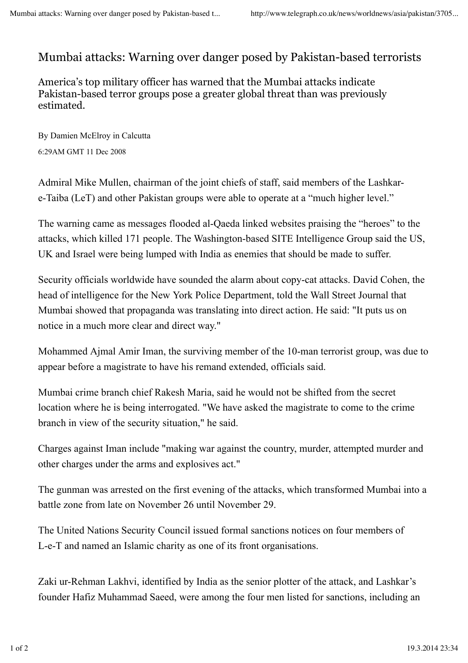## Mumbai attacks: Warning over danger posed by Pakistan-based terrorists

America's top military officer has warned that the Mumbai attacks indicate Pakistan-based terror groups pose a greater global threat than was previously estimated.

By Damien McElroy in Calcutta 6:29AM GMT 11 Dec 2008

Admiral Mike Mullen, chairman of the joint chiefs of staff, said members of the Lashkare-Taiba (LeT) and other Pakistan groups were able to operate at a "much higher level."

The warning came as messages flooded al-Qaeda linked websites praising the "heroes" to the attacks, which killed 171 people. The Washington-based SITE Intelligence Group said the US, UK and Israel were being lumped with India as enemies that should be made to suffer.

Security officials worldwide have sounded the alarm about copy-cat attacks. David Cohen, the head of intelligence for the New York Police Department, told the Wall Street Journal that Mumbai showed that propaganda was translating into direct action. He said: "It puts us on notice in a much more clear and direct way."

Mohammed Ajmal Amir Iman, the surviving member of the 10-man terrorist group, was due to appear before a magistrate to have his remand extended, officials said.

Mumbai crime branch chief Rakesh Maria, said he would not be shifted from the secret location where he is being interrogated. "We have asked the magistrate to come to the crime branch in view of the security situation," he said.

Charges against Iman include "making war against the country, murder, attempted murder and other charges under the arms and explosives act."

The gunman was arrested on the first evening of the attacks, which transformed Mumbai into a battle zone from late on November 26 until November 29.

The United Nations Security Council issued formal sanctions notices on four members of L-e-T and named an Islamic charity as one of its front organisations.

Zaki ur-Rehman Lakhvi, identified by India as the senior plotter of the attack, and Lashkar's founder Hafiz Muhammad Saeed, were among the four men listed for sanctions, including an